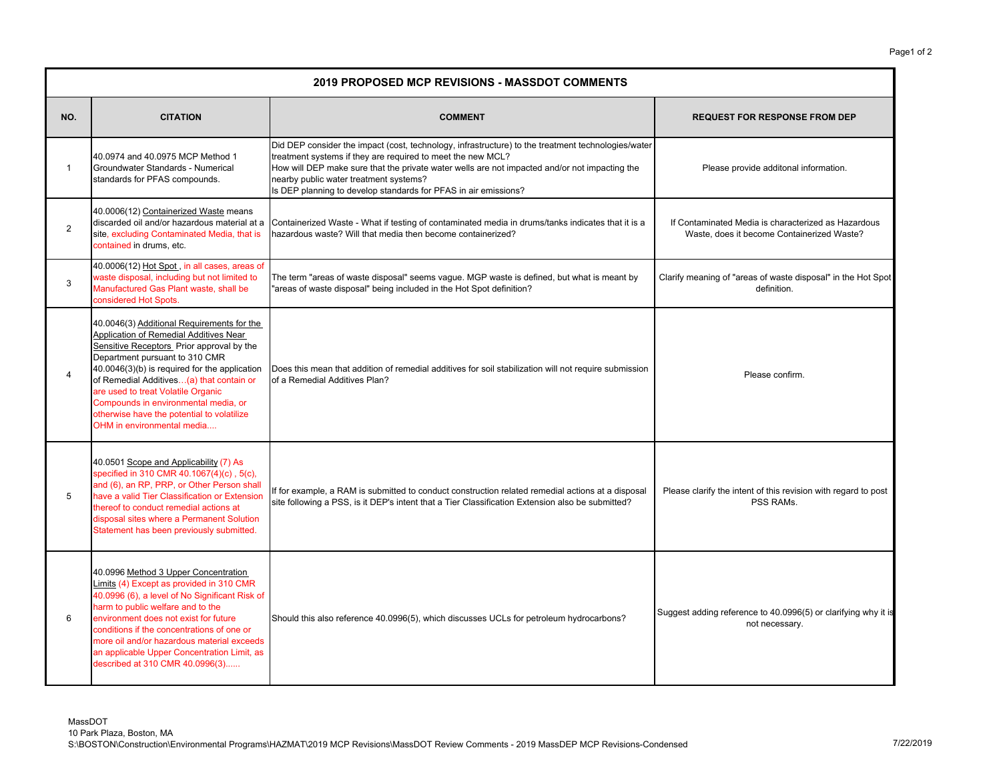| 2019 PROPOSED MCP REVISIONS - MASSDOT COMMENTS |                                                                                                                                                                                                                                                                                                                                                                                                                            |                                                                                                                                                                                                                                                                                                                                                                                 |                                                                                                   |  |  |
|------------------------------------------------|----------------------------------------------------------------------------------------------------------------------------------------------------------------------------------------------------------------------------------------------------------------------------------------------------------------------------------------------------------------------------------------------------------------------------|---------------------------------------------------------------------------------------------------------------------------------------------------------------------------------------------------------------------------------------------------------------------------------------------------------------------------------------------------------------------------------|---------------------------------------------------------------------------------------------------|--|--|
| NO.                                            | <b>CITATION</b>                                                                                                                                                                                                                                                                                                                                                                                                            | <b>COMMENT</b>                                                                                                                                                                                                                                                                                                                                                                  | <b>REQUEST FOR RESPONSE FROM DEP</b>                                                              |  |  |
| $\mathbf{1}$                                   | 40.0974 and 40.0975 MCP Method 1<br>Groundwater Standards - Numerical<br>standards for PFAS compounds.                                                                                                                                                                                                                                                                                                                     | Did DEP consider the impact (cost, technology, infrastructure) to the treatment technologies/water<br>treatment systems if they are required to meet the new MCL?<br>How will DEP make sure that the private water wells are not impacted and/or not impacting the<br>nearby public water treatment systems?<br>Is DEP planning to develop standards for PFAS in air emissions? | Please provide additonal information.                                                             |  |  |
| 2                                              | 40.0006(12) Containerized Waste means<br>discarded oil and/or hazardous material at a<br>site, excluding Contaminated Media, that is<br>contained in drums, etc.                                                                                                                                                                                                                                                           | Containerized Waste - What if testing of contaminated media in drums/tanks indicates that it is a<br>hazardous waste? Will that media then become containerized?                                                                                                                                                                                                                | If Contaminated Media is characterized as Hazardous<br>Waste, does it become Containerized Waste? |  |  |
| 3                                              | 40.0006(12) Hot Spot, in all cases, areas of<br>waste disposal, including but not limited to<br>Manufactured Gas Plant waste, shall be<br>considered Hot Spots.                                                                                                                                                                                                                                                            | The term "areas of waste disposal" seems vague. MGP waste is defined, but what is meant by<br>"areas of waste disposal" being included in the Hot Spot definition?                                                                                                                                                                                                              | Clarify meaning of "areas of waste disposal" in the Hot Spot<br>definition.                       |  |  |
| $\overline{4}$                                 | 40.0046(3) Additional Requirements for the<br>Application of Remedial Additives Near<br>Sensitive Receptors Prior approval by the<br>Department pursuant to 310 CMR<br>40.0046(3)(b) is required for the application<br>of Remedial Additives(a) that contain or<br>are used to treat Volatile Organic<br>Compounds in environmental media, or<br>otherwise have the potential to volatilize<br>OHM in environmental media | Does this mean that addition of remedial additives for soil stabilization will not require submission<br>of a Remedial Additives Plan?                                                                                                                                                                                                                                          | Please confirm.                                                                                   |  |  |
| 5                                              | 40.0501 Scope and Applicability (7) As<br>specified in 310 CMR 40.1067(4)(c), 5(c),<br>and (6), an RP, PRP, or Other Person shall<br>have a valid Tier Classification or Extension<br>thereof to conduct remedial actions at<br>disposal sites where a Permanent Solution<br>Statement has been previously submitted.                                                                                                      | If for example, a RAM is submitted to conduct construction related remedial actions at a disposal<br>site following a PSS, is it DEP's intent that a Tier Classification Extension also be submitted?                                                                                                                                                                           | Please clarify the intent of this revision with regard to post<br>PSS RAMs.                       |  |  |
| 6                                              | 40.0996 Method 3 Upper Concentration<br>Limits (4) Except as provided in 310 CMR<br>40.0996 (6), a level of No Significant Risk of<br>harm to public welfare and to the<br>environment does not exist for future<br>conditions if the concentrations of one or<br>more oil and/or hazardous material exceeds<br>an applicable Upper Concentration Limit, as<br>described at 310 CMR 40.0996(3)                             | Should this also reference 40.0996(5), which discusses UCLs for petroleum hydrocarbons?                                                                                                                                                                                                                                                                                         | Suggest adding reference to 40.0996(5) or clarifying why it is<br>not necessary.                  |  |  |